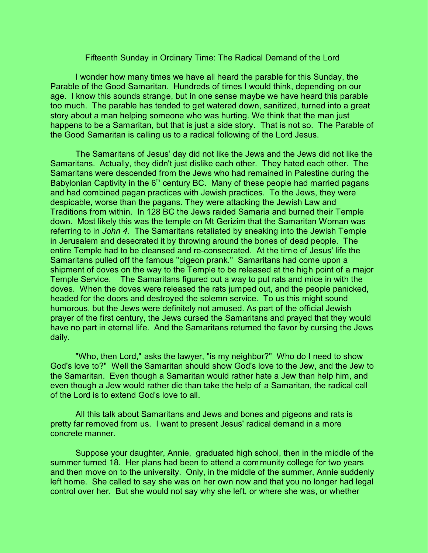## Fifteenth Sunday in Ordinary Time: The Radical Demand of the Lord

I wonder how many times we have all heard the parable for this Sunday, the Parable of the Good Samaritan. Hundreds of times I would think, depending on our age. I know this sounds strange, but in one sense maybe we have heard this parable too much. The parable has tended to get watered down, sanitized, turned into a great story about a man helping someone who was hurting. We think that the man just happens to be a Samaritan, but that is just a side story. That is not so. The Parable of the Good Samaritan is calling us to a radical following of the Lord Jesus.

The Samaritans of Jesus' day did not like the Jews and the Jews did not like the Samaritans. Actually, they didn't just dislike each other. They hated each other. The Samaritans were descended from the Jews who had remained in Palestine during the Babylonian Captivity in the  $6<sup>th</sup>$  century BC. Many of these people had married pagans and had combined pagan practices with Jewish practices. To the Jews, they were despicable, worse than the pagans. They were attacking the Jewish Law and Traditions from within. In 128 BC the Jews raided Samaria and burned their Temple down. Most likely this was the temple on Mt Gerizim that the Samaritan Woman was referring to in *John 4.* The Samaritans retaliated by sneaking into the Jewish Temple in Jerusalem and desecrated it by throwing around the bones of dead people. The entire Temple had to be cleansed and re-consecrated. At the time of Jesus' life the Samaritans pulled off the famous "pigeon prank." Samaritans had come upon a shipment of doves on the way to the Temple to be released at the high point of a major Temple Service. The Samaritans figured out a way to put rats and mice in with the doves. When the doves were released the rats jumped out, and the people panicked, headed for the doors and destroyed the solemn service. To us this might sound humorous, but the Jews were definitely not amused. As part of the official Jewish prayer of the first century, the Jews cursed the Samaritans and prayed that they would have no part in eternal life. And the Samaritans returned the favor by cursing the Jews daily.

"Who, then Lord," asks the lawyer, "is my neighbor?" Who do I need to show God's love to?" Well the Samaritan should show God's love to the Jew, and the Jew to the Samaritan. Even though a Samaritan would rather hate a Jew than help him, and even though a Jew would rather die than take the help of a Samaritan, the radical call of the Lord is to extend God's love to all.

All this talk about Samaritans and Jews and bones and pigeons and rats is pretty far removed from us. I want to present Jesus' radical demand in a more concrete manner.

Suppose your daughter, Annie, graduated high school, then in the middle of the summer turned 18. Her plans had been to attend a community college for two years and then move on to the university. Only, in the middle of the summer, Annie suddenly left home. She called to say she was on her own now and that you no longer had legal control over her. But she would not say why she left, or where she was, or whether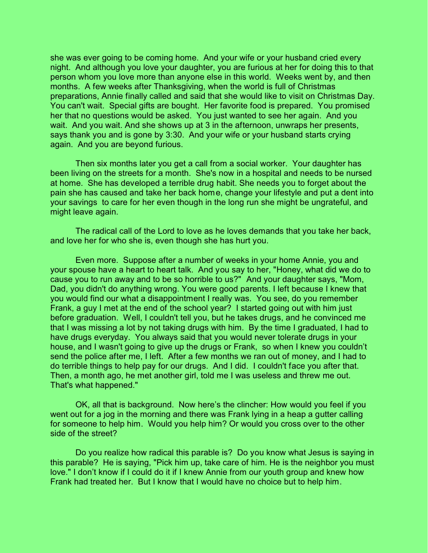she was ever going to be coming home. And your wife or your husband cried every night. And although you love your daughter, you are furious at her for doing this to that person whom you love more than anyone else in this world. Weeks went by, and then months. A few weeks after Thanksgiving, when the world is full of Christmas preparations, Annie finally called and said that she would like to visit on Christmas Day. You can't wait. Special gifts are bought. Her favorite food is prepared. You promised her that no questions would be asked. You just wanted to see her again. And you wait. And you wait. And she shows up at 3 in the afternoon, unwraps her presents, says thank you and is gone by 3:30. And your wife or your husband starts crying again. And you are beyond furious.

Then six months later you get a call from a social worker. Your daughter has been living on the streets for a month. She's now in a hospital and needs to be nursed at home. She has developed a terrible drug habit. She needs you to forget about the pain she has caused and take her back home, change your lifestyle and put a dent into your savings to care for her even though in the long run she might be ungrateful, and might leave again.

The radical call of the Lord to love as he loves demands that you take her back, and love her for who she is, even though she has hurt you.

Even more. Suppose after a number of weeks in your home Annie, you and your spouse have a heart to heart talk. And you say to her, "Honey, what did we do to cause you to run away and to be so horrible to us?" And your daughter says, "Mom, Dad, you didn't do anything wrong. You were good parents. I left because I knew that you would find our what a disappointment I really was. You see, do you remember Frank, a guy I met at the end of the school year? I started going out with him just before graduation. Well, I couldn't tell you, but he takes drugs, and he convinced me that I was missing a lot by not taking drugs with him. By the time I graduated, I had to have drugs everyday. You always said that you would never tolerate drugs in your house, and I wasn't going to give up the drugs or Frank, so when I knew you couldn't send the police after me, I left. After a few months we ran out of money, and I had to do terrible things to help pay for our drugs. And I did. I couldn't face you after that. Then, a month ago, he met another girl, told me I was useless and threw me out. That's what happened."

OK, all that is background. Now here's the clincher: How would you feel if you went out for a jog in the morning and there was Frank lying in a heap a gutter calling for someone to help him. Would you help him? Or would you cross over to the other side of the street?

Do you realize how radical this parable is? Do you know what Jesus is saying in this parable? He is saying, "Pick him up, take care of him. He is the neighbor you must love." I don't know if I could do it if I knew Annie from our youth group and knew how Frank had treated her. But I know that I would have no choice but to help him.